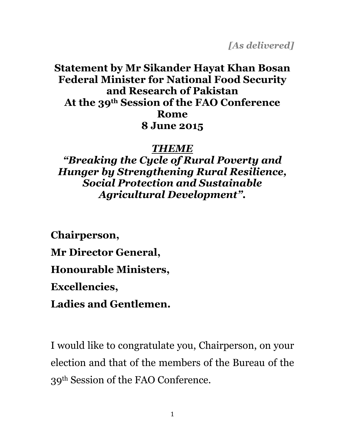*[As delivered]*

#### **Statement by Mr Sikander Hayat Khan Bosan Federal Minister for National Food Security and Research of Pakistan At the 39th Session of the FAO Conference Rome 8 June 2015**

#### *THEME*

*"Breaking the Cycle of Rural Poverty and Hunger by Strengthening Rural Resilience, Social Protection and Sustainable Agricultural Development".*

**Chairperson, Mr Director General, Honourable Ministers, Excellencies, Ladies and Gentlemen.**

I would like to congratulate you, Chairperson, on your election and that of the members of the Bureau of the 39th Session of the FAO Conference.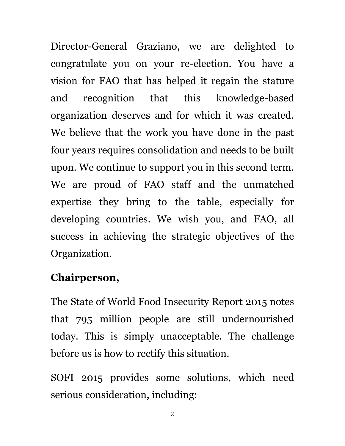Director-General Graziano, we are delighted to congratulate you on your re-election. You have a vision for FAO that has helped it regain the stature and recognition that this knowledge-based organization deserves and for which it was created. We believe that the work you have done in the past four years requires consolidation and needs to be built upon. We continue to support you in this second term. We are proud of FAO staff and the unmatched expertise they bring to the table, especially for developing countries. We wish you, and FAO, all success in achieving the strategic objectives of the Organization.

### **Chairperson,**

The State of World Food Insecurity Report 2015 notes that 795 million people are still undernourished today. This is simply unacceptable. The challenge before us is how to rectify this situation.

SOFI 2015 provides some solutions, which need serious consideration, including: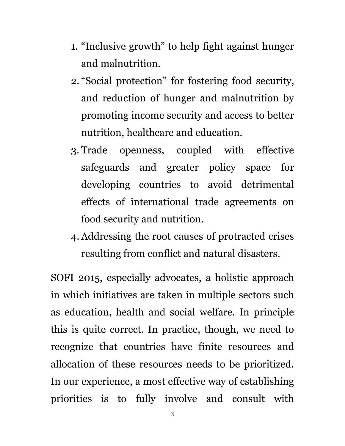- 1. "Inclusive growth" to help fight against hunger and malnutrition.
- 2. "Social protection" for fostering food security, and reduction of hunger and malnutrition by promoting income security and access to better nutrition, healthcare and education.
- 3. Trade openness, coupled with effective safeguards and greater policy space for developing countries to avoid detrimental effects of international trade agreements on food security and nutrition.
- 4.Addressing the root causes of protracted crises resulting from conflict and natural disasters.

SOFI 2015, especially advocates, a holistic approach in which initiatives are taken in multiple sectors such as education, health and social welfare. In principle this is quite correct. In practice, though, we need to recognize that countries have finite resources and allocation of these resources needs to be prioritized. In our experience, a most effective way of establishing priorities is to fully involve and consult with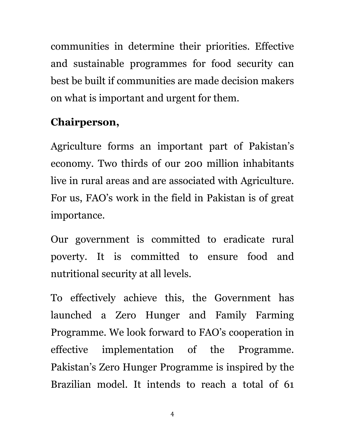communities in determine their priorities. Effective and sustainable programmes for food security can best be built if communities are made decision makers on what is important and urgent for them.

### **Chairperson,**

Agriculture forms an important part of Pakistan's economy. Two thirds of our 200 million inhabitants live in rural areas and are associated with Agriculture. For us, FAO's work in the field in Pakistan is of great importance.

Our government is committed to eradicate rural poverty. It is committed to ensure food and nutritional security at all levels.

To effectively achieve this, the Government has launched a Zero Hunger and Family Farming Programme. We look forward to FAO's cooperation in effective implementation of the Programme. Pakistan's Zero Hunger Programme is inspired by the Brazilian model. It intends to reach a total of 61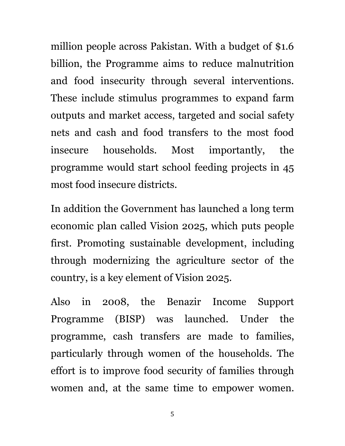million people across Pakistan. With a budget of \$1.6 billion, the Programme aims to reduce malnutrition and food insecurity through several interventions. These include stimulus programmes to expand farm outputs and market access, targeted and social safety nets and cash and food transfers to the most food insecure households. Most importantly, the programme would start school feeding projects in 45 most food insecure districts.

In addition the Government has launched a long term economic plan called Vision 2025, which puts people first. Promoting sustainable development, including through modernizing the agriculture sector of the country, is a key element of Vision 2025.

Also in 2008, the Benazir Income Support Programme (BISP) was launched. Under the programme, cash transfers are made to families, particularly through women of the households. The effort is to improve food security of families through women and, at the same time to empower women.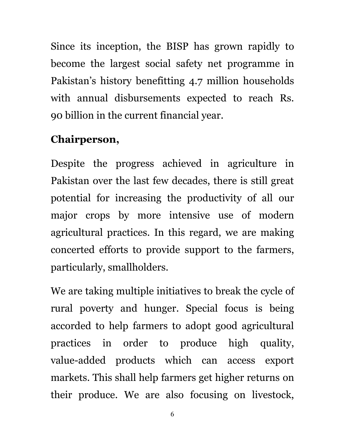Since its inception, the BISP has grown rapidly to become the largest social safety net programme in Pakistan's history benefitting 4.7 million households with annual disbursements expected to reach Rs. 90 billion in the current financial year.

#### **Chairperson,**

Despite the progress achieved in agriculture in Pakistan over the last few decades, there is still great potential for increasing the productivity of all our major crops by more intensive use of modern agricultural practices. In this regard, we are making concerted efforts to provide support to the farmers, particularly, smallholders.

We are taking multiple initiatives to break the cycle of rural poverty and hunger. Special focus is being accorded to help farmers to adopt good agricultural practices in order to produce high quality, value-added products which can access export markets. This shall help farmers get higher returns on their produce. We are also focusing on livestock,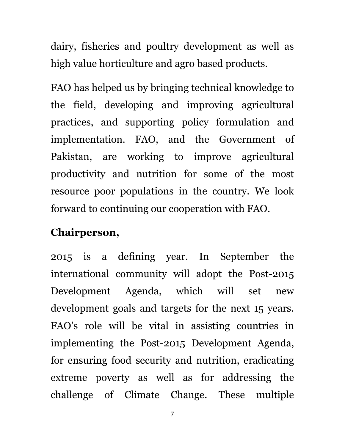dairy, fisheries and poultry development as well as high value horticulture and agro based products.

FAO has helped us by bringing technical knowledge to the field, developing and improving agricultural practices, and supporting policy formulation and implementation. FAO, and the Government of Pakistan, are working to improve agricultural productivity and nutrition for some of the most resource poor populations in the country. We look forward to continuing our cooperation with FAO.

## **Chairperson,**

2015 is a defining year. In September the international community will adopt the Post-2015 Development Agenda, which will set new development goals and targets for the next 15 years. FAO's role will be vital in assisting countries in implementing the Post-2015 Development Agenda, for ensuring food security and nutrition, eradicating extreme poverty as well as for addressing the challenge of Climate Change. These multiple